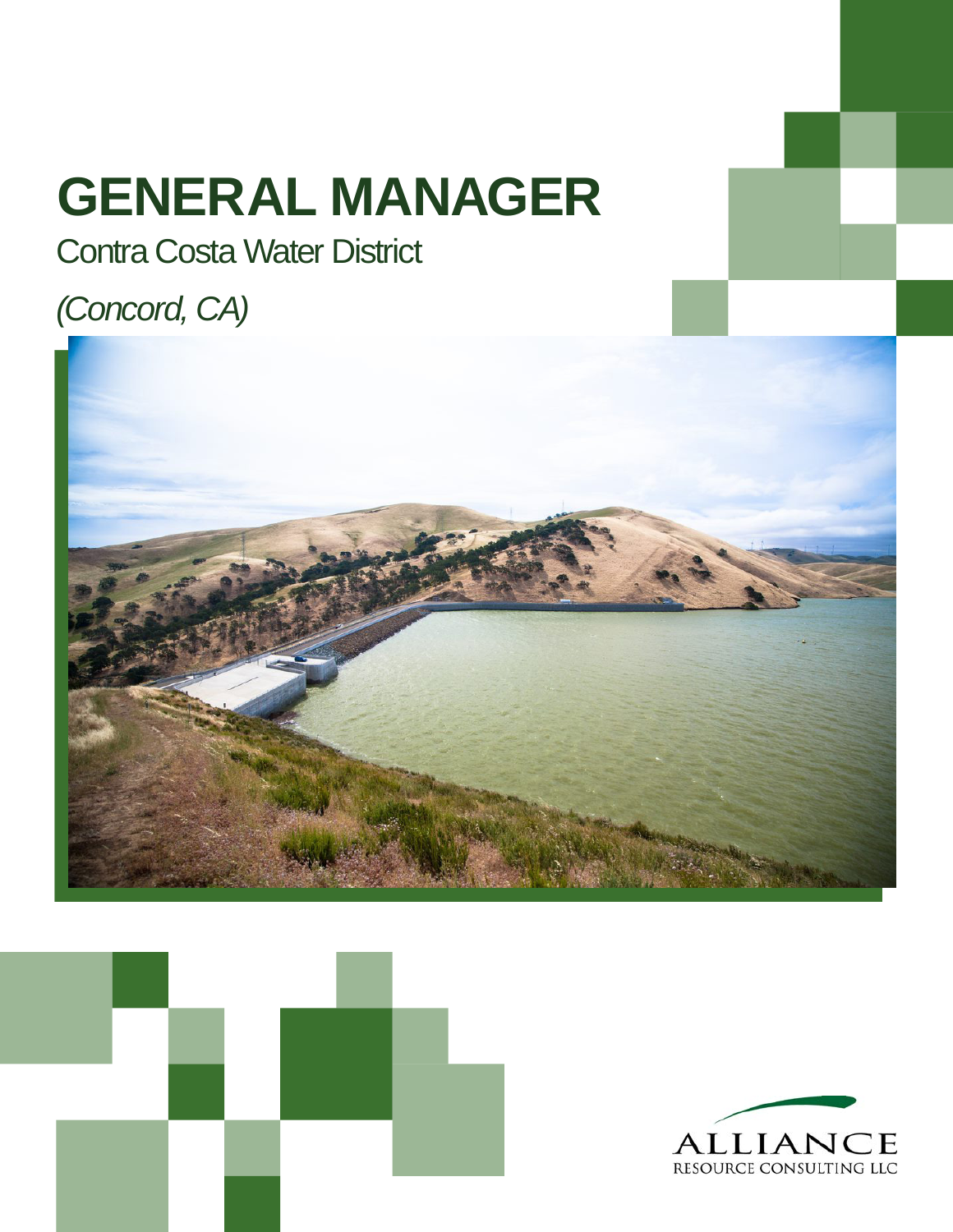# **GENERAL MANAGER**

### Contra Costa Water District

### *(Concord, CA)*





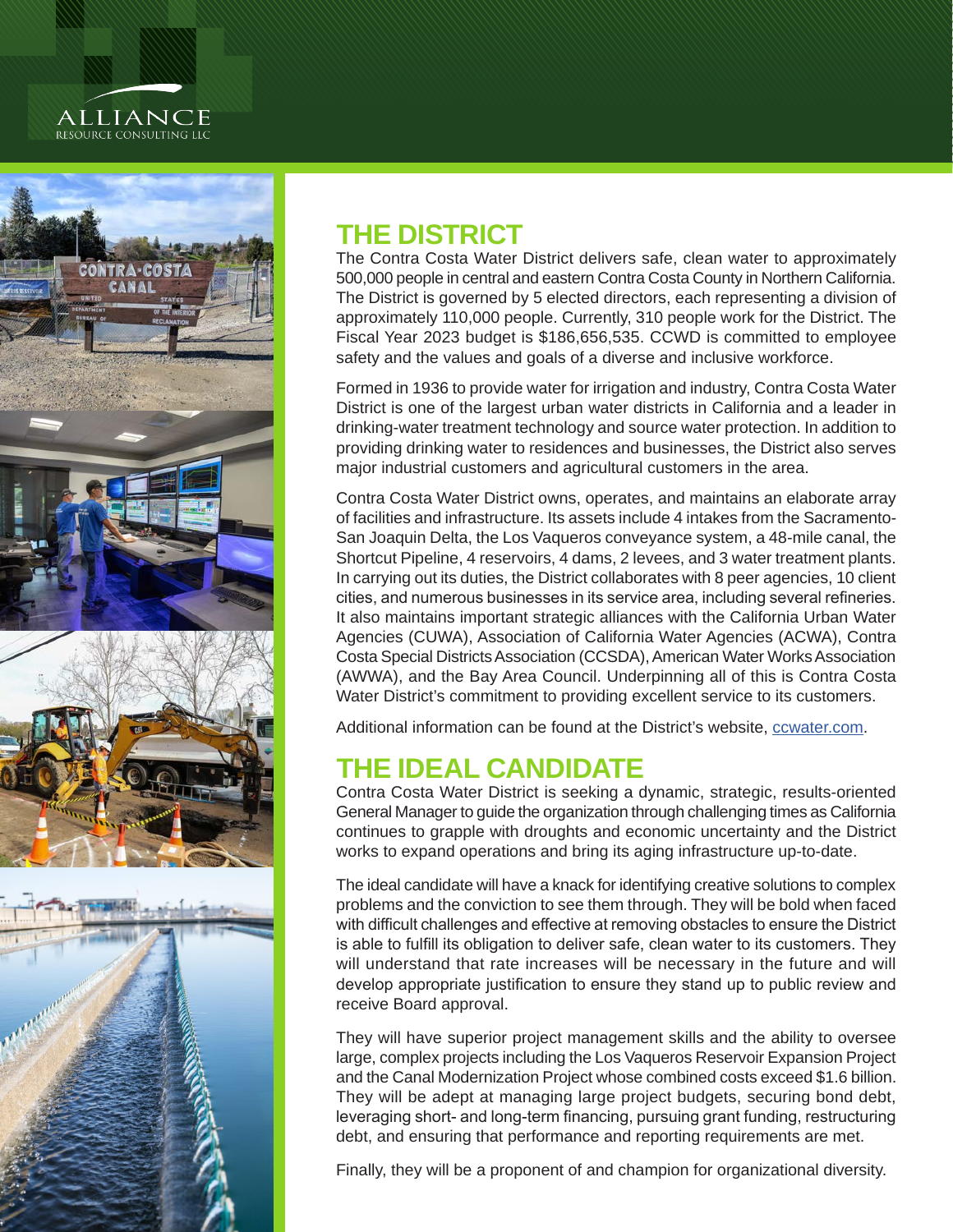## **ALLIANCE**<br>RESOURCE CONSULTING LLC







#### **THE DISTRICT**

The Contra Costa Water District delivers safe, clean water to approximately 500,000 people in central and eastern Contra Costa County in Northern California. The District is governed by 5 elected directors, each representing a division of approximately 110,000 people. Currently, 310 people work for the District. The Fiscal Year 2023 budget is \$186,656,535. CCWD is committed to employee safety and the values and goals of a diverse and inclusive workforce.

Formed in 1936 to provide water for irrigation and industry, Contra Costa Water District is one of the largest urban water districts in California and a leader in drinking-water treatment technology and source water protection. In addition to providing drinking water to residences and businesses, the District also serves major industrial customers and agricultural customers in the area.

Contra Costa Water District owns, operates, and maintains an elaborate array of facilities and infrastructure. Its assets include 4 intakes from the Sacramento-San Joaquin Delta, the Los Vaqueros conveyance system, a 48-mile canal, the Shortcut Pipeline, 4 reservoirs, 4 dams, 2 levees, and 3 water treatment plants. In carrying out its duties, the District collaborates with 8 peer agencies, 10 client cities, and numerous businesses in its service area, including several refineries. It also maintains important strategic alliances with the California Urban Water Agencies (CUWA), Association of California Water Agencies (ACWA), Contra Costa Special Districts Association (CCSDA), American Water Works Association (AWWA), and the Bay Area Council. Underpinning all of this is Contra Costa Water District's commitment to providing excellent service to its customers.

Additional information can be found at the District's website, cowater.com.

#### **THE IDEAL CANDIDATE**

Contra Costa Water District is seeking a dynamic, strategic, results-oriented General Manager to guide the organization through challenging times as California continues to grapple with droughts and economic uncertainty and the District works to expand operations and bring its aging infrastructure up-to-date.

The ideal candidate will have a knack for identifying creative solutions to complex problems and the conviction to see them through. They will be bold when faced with difficult challenges and effective at removing obstacles to ensure the District is able to fulfill its obligation to deliver safe, clean water to its customers. They will understand that rate increases will be necessary in the future and will develop appropriate justification to ensure they stand up to public review and receive Board approval.

They will have superior project management skills and the ability to oversee large, complex projects including the Los Vaqueros Reservoir Expansion Project and the Canal Modernization Project whose combined costs exceed \$1.6 billion. They will be adept at managing large project budgets, securing bond debt, leveraging short- and long-term financing, pursuing grant funding, restructuring debt, and ensuring that performance and reporting requirements are met.

Finally, they will be a proponent of and champion for organizational diversity.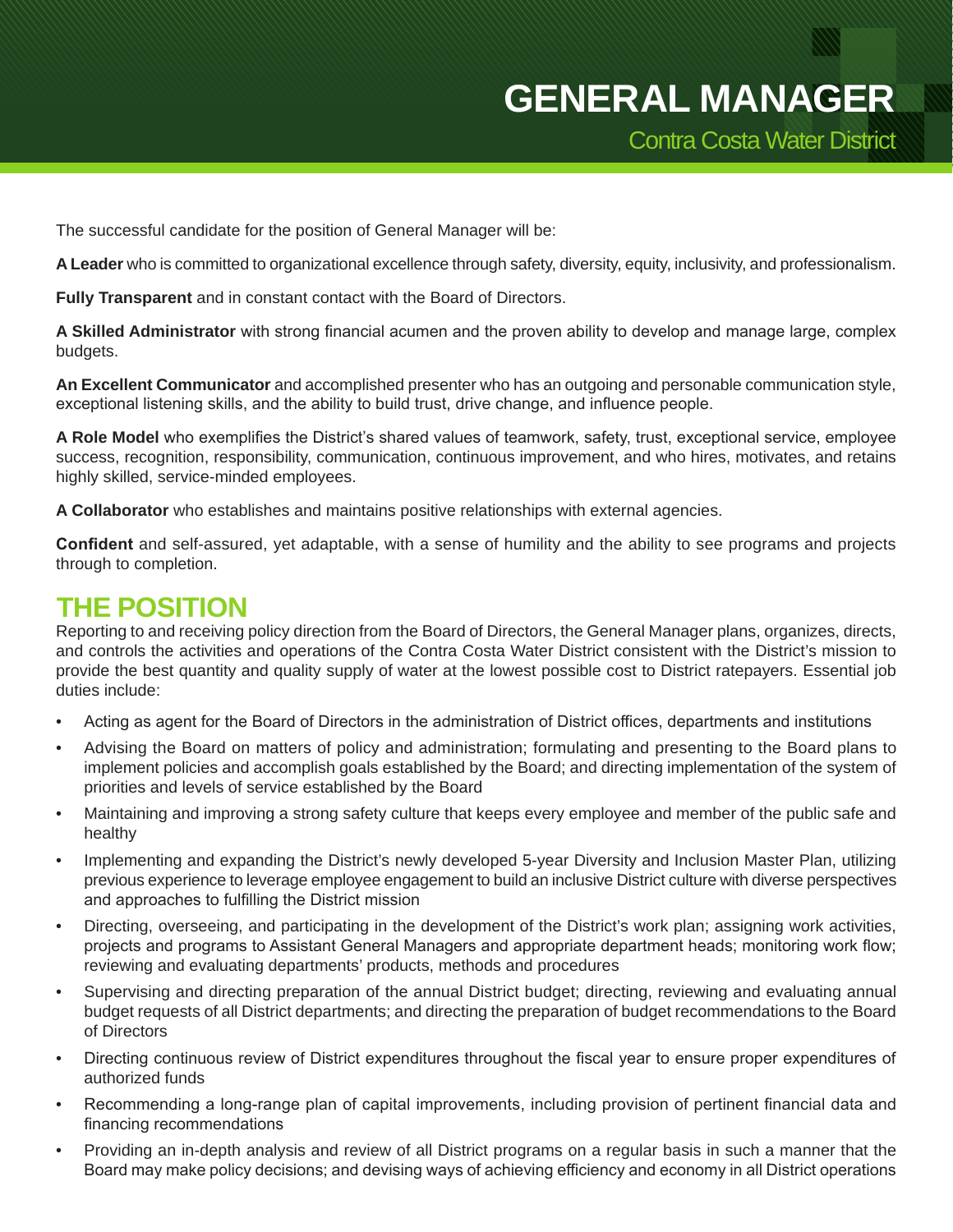The successful candidate for the position of General Manager will be:

**A Leader** who is committed to organizational excellence through safety, diversity, equity, inclusivity, and professionalism.

**Fully Transparent** and in constant contact with the Board of Directors.

**A Skilled Administrator** with strong financial acumen and the proven ability to develop and manage large, complex budgets.

**An Excellent Communicator** and accomplished presenter who has an outgoing and personable communication style, exceptional listening skills, and the ability to build trust, drive change, and influence people.

**A Role Model** who exemplifies the District's shared values of teamwork, safety, trust, exceptional service, employee success, recognition, responsibility, communication, continuous improvement, and who hires, motivates, and retains highly skilled, service-minded employees.

**A Collaborator** who establishes and maintains positive relationships with external agencies.

**Confident** and self-assured, yet adaptable, with a sense of humility and the ability to see programs and projects through to completion.

#### **THE POSITION**

Reporting to and receiving policy direction from the Board of Directors, the General Manager plans, organizes, directs, and controls the activities and operations of the Contra Costa Water District consistent with the District's mission to provide the best quantity and quality supply of water at the lowest possible cost to District ratepayers. Essential job duties include:

- Acting as agent for the Board of Directors in the administration of District offices, departments and institutions
- Advising the Board on matters of policy and administration; formulating and presenting to the Board plans to implement policies and accomplish goals established by the Board; and directing implementation of the system of priorities and levels of service established by the Board
- Maintaining and improving a strong safety culture that keeps every employee and member of the public safe and healthy
- Implementing and expanding the District's newly developed 5-year Diversity and Inclusion Master Plan, utilizing previous experience to leverage employee engagement to build an inclusive District culture with diverse perspectives and approaches to fulfilling the District mission
- Directing, overseeing, and participating in the development of the District's work plan; assigning work activities, projects and programs to Assistant General Managers and appropriate department heads; monitoring work flow; reviewing and evaluating departments' products, methods and procedures
- Supervising and directing preparation of the annual District budget; directing, reviewing and evaluating annual budget requests of all District departments; and directing the preparation of budget recommendations to the Board of Directors
- Directing continuous review of District expenditures throughout the fiscal year to ensure proper expenditures of authorized funds
- Recommending a long-range plan of capital improvements, including provision of pertinent financial data and financing recommendations
- Providing an in-depth analysis and review of all District programs on a regular basis in such a manner that the Board may make policy decisions; and devising ways of achieving efficiency and economy in all District operations